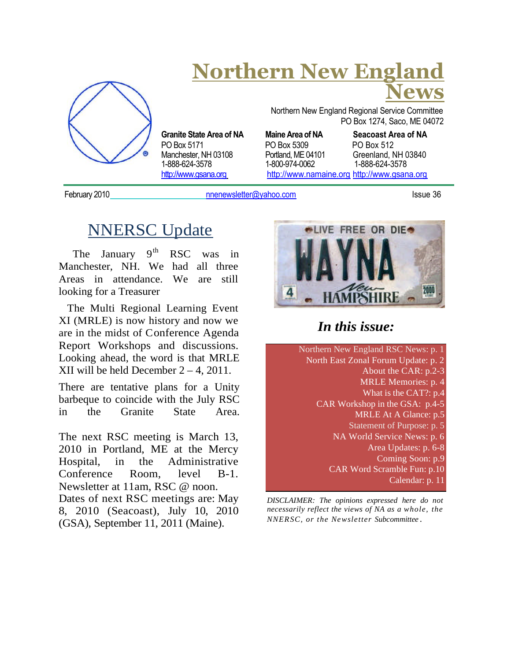

# **Northern New England News**

Northern New England Regional Service Committee PO Box 1274, Saco, ME 04072

PO Box 5171 PO Box 5309 PO Box 512 Manchester, NH 03108 Portland, ME 04101 Greenland, NH 03840<br>1-888-624-3578 1-800-974-0062 1-888-624-3578 http://www.gsana.org http://www.namaine.org http://www.gsana.org

**Granite State Area of NA Maine Area of NA Seacoast Area of NA** 1-888-624-3578 1-800-974-0062 1-888-624-3578

February 2010 **notation intervention cometer** computer of the state 36 and the state 36 and the state 36 and the state 36

## NNERSC Update

The January  $9<sup>th</sup> RSC$  was in Manchester, NH. We had all three Areas in attendance. We are still looking for a Treasurer

The Multi Regional Learning Event XI (MRLE) is now history and now we are in the midst of Conference Agenda Report Workshops and discussions. Looking ahead, the word is that MRLE XII will be held December  $2 - 4$ , 2011.

There are tentative plans for a Unity barbeque to coincide with the July RSC in the Granite State Area.

The next RSC meeting is March 13, 2010 in Portland, ME at the Mercy Hospital, in the Administrative Conference Room, level B-1. Newsletter at 11am, RSC @ noon. Dates of next RSC meetings are: May 8, 2010 (Seacoast), July 10, 2010 (GSA), September 11, 2011 (Maine).



## *In this issue:*

Northern New England RSC News: p. 1 North East Zonal Forum Update: p. 2 About the CAR: p.2-3 MRLE Memories: p. 4 What is the CAT?: p.4 CAR Workshop in the GSA: p.4-5 MRLE At A Glance: p.5 Statement of Purpose: p. 5 NA World Service News: p. 6 Area Updates: p. 6-8 Coming Soon: p.9 CAR Word Scramble Fun: p.10 Calendar: p. 11

*DISCLAIMER: The opinions expressed here do not necessarily reflect the views of NA as a whole, the NNERSC, or the Newsletter Subcommittee .*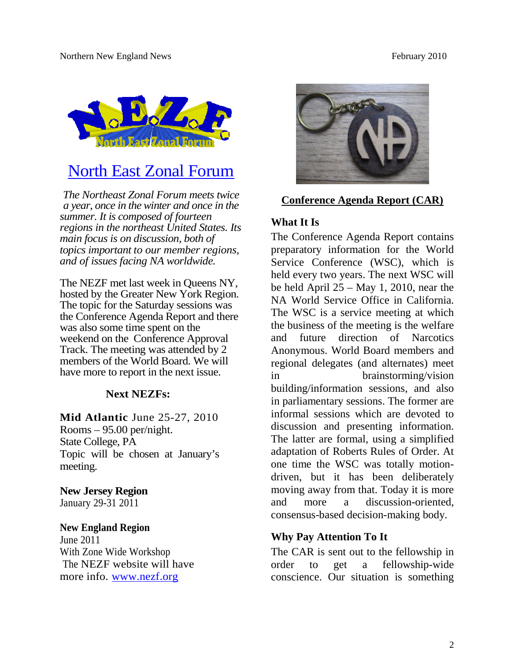

## North East Zonal Forum

*The Northeast Zonal Forum meets twice a year, once in the winter and once in the summer. It is composed of fourteen regions in the northeast United States. Its main focus is on discussion, both of topics important to our member regions, and of issues facing NA worldwide.*

The NEZF met last week in Queens NY, hosted by the Greater New York Region. The topic for the Saturday sessions was the Conference Agenda Report and there was also some time spent on the weekend on the Conference Approval Track. The meeting was attended by 2 members of the World Board. We will have more to report in the next issue.

#### **Next NEZFs:**

**Mid Atlantic** June 25-27, 2010 Rooms – 95.00 per/night. State College, PA Topic will be chosen at January's meeting.

## **New Jersey Region**

January 29-31 2011

#### **New England Region**

June 2011 With Zone Wide Workshop The NEZF website will have more info. www.nezf.org



#### **Conference Agenda Report (CAR)**

### **What It Is**

The Conference Agenda Report contains preparatory information for the World Service Conference (WSC), which is held every two years. The next WSC will be held April 25 – May 1, 2010, near the NA World Service Office in California. The WSC is a service meeting at which the business of the meeting is the welfare and future direction of Narcotics Anonymous. World Board members and regional delegates (and alternates) meet in brainstorming/vision building/information sessions, and also in parliamentary sessions. The former are informal sessions which are devoted to discussion and presenting information. The latter are formal, using a simplified adaptation of Roberts Rules of Order. At one time the WSC was totally motiondriven, but it has been deliberately moving away from that. Today it is more and more a discussion-oriented, consensus-based decision-making body.

#### **Why Pay Attention To It**

The CAR is sent out to the fellowship in order to get a fellowship-wide conscience. Our situation is something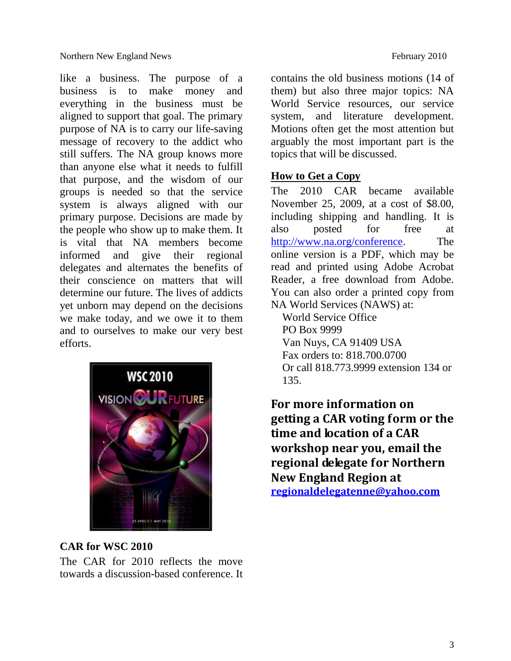like a business. The purpose of a business is to make money and everything in the business must be aligned to support that goal. The primary purpose of NA is to carry our life-saving message of recovery to the addict who still suffers. The NA group knows more than anyone else what it needs to fulfill that purpose, and the wisdom of our groups is needed so that the service system is always aligned with our primary purpose. Decisions are made by the people who show up to make them. It is vital that NA members become informed and give their regional delegates and alternates the benefits of their conscience on matters that will determine our future. The lives of addicts yet unborn may depend on the decisions we make today, and we owe it to them and to ourselves to make our very best efforts.



### **CAR for WSC 2010**

The CAR for 2010 reflects the move towards a discussion-based conference. It contains the old business motions (14 of them) but also three major topics: NA World Service resources, our service system, and literature development. Motions often get the most attention but arguably the most important part is the topics that will be discussed.

#### **How to Get a Copy**

The 2010 CAR became available November 25, 2009, at a cost of \$8.00, including shipping and handling. It is also posted for free at http://www.na.org/conference. The online version is a PDF, which may be read and printed using Adobe Acrobat Reader, a free download from Adobe. You can also order a printed copy from NA World Services (NAWS) at:

World Service Office PO Box 9999 Van Nuys, CA 91409 USA Fax orders to: 818.700.0700 Or call 818.773.9999 extension 134 or 135.

**For more information on getting a CAR voting form or the time and location of a CAR workshop near you, email the regional delegate for Northern New England Region at regionaldelegatenne@yahoo.com**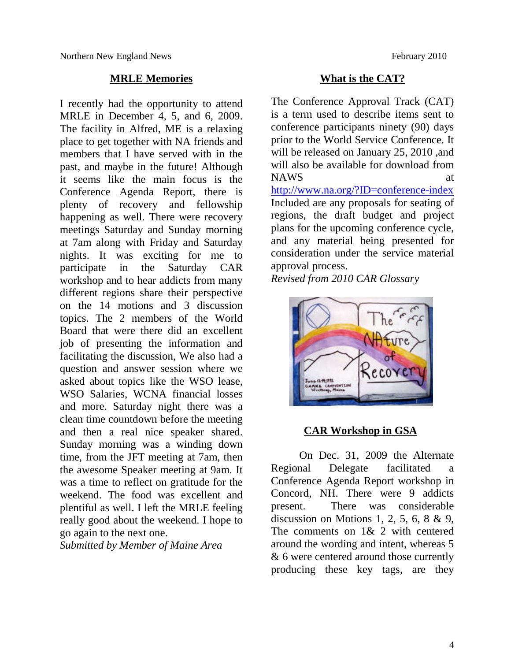#### **MRLE Memories**

I recently had the opportunity to attend MRLE in December 4, 5, and 6, 2009. The facility in Alfred, ME is a relaxing place to get together with NA friends and members that I have served with in the past, and maybe in the future! Although it seems like the main focus is the Conference Agenda Report, there is plenty of recovery and fellowship happening as well. There were recovery meetings Saturday and Sunday morning at 7am along with Friday and Saturday nights. It was exciting for me to participate in the Saturday CAR workshop and to hear addicts from many different regions share their perspective on the 14 motions and 3 discussion topics. The 2 members of the World Board that were there did an excellent job of presenting the information and facilitating the discussion, We also had a question and answer session where we asked about topics like the WSO lease, WSO Salaries, WCNA financial losses and more. Saturday night there was a clean time countdown before the meeting and then a real nice speaker shared. Sunday morning was a winding down time, from the JFT meeting at 7am, then the awesome Speaker meeting at 9am. It was a time to reflect on gratitude for the weekend. The food was excellent and plentiful as well. I left the MRLE feeling really good about the weekend. I hope to go again to the next one.

*Submitted by Member of Maine Area*

#### **What is the CAT?**

The Conference Approval Track (CAT) is a term used to describe items sent to conference participants ninety (90) days prior to the World Service Conference. It will be released on January 25, 2010 ,and will also be available for download from NAWS at http://www.na.org/?ID=conference-index Included are any proposals for seating of regions, the draft budget and project

plans for the upcoming conference cycle, and any material being presented for consideration under the service material approval process.

*Revised from 2010 CAR Glossary*



#### **CAR Workshop in GSA**

On Dec. 31, 2009 the Alternate Regional Delegate facilitated a Conference Agenda Report workshop in Concord, NH. There were 9 addicts present. There was considerable discussion on Motions 1, 2, 5, 6, 8 & 9, The comments on 1& 2 with centered around the wording and intent, whereas 5 & 6 were centered around those currently producing these key tags, are they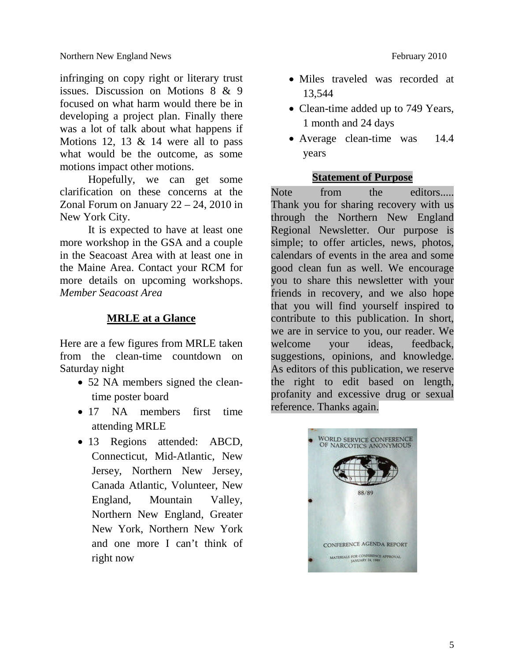infringing on copy right or literary trust issues. Discussion on Motions 8 & 9 focused on what harm would there be in developing a project plan. Finally there was a lot of talk about what happens if Motions 12, 13  $&$  14 were all to pass what would be the outcome, as some motions impact other motions.

Hopefully, we can get some clarification on these concerns at the Zonal Forum on January 22 – 24, 2010 in New York City.

It is expected to have at least one more workshop in the GSA and a couple in the Seacoast Area with at least one in the Maine Area. Contact your RCM for more details on upcoming workshops. *Member Seacoast Area*

#### **MRLE at a Glance**

Here are a few figures from MRLE taken from the clean-time countdown on Saturday night

- 52 NA members signed the cleantime poster board
- 17 NA members first time attending MRLE
- 13 Regions attended: ABCD, Connecticut, Mid-Atlantic, New Jersey, Northern New Jersey, Canada Atlantic, Volunteer, New England, Mountain Valley, Northern New England, Greater New York, Northern New York and one more I can't think of right now
- Miles traveled was recorded at 13,544
- Clean-time added up to 749 Years, 1 month and 24 days
- Average clean-time was 14.4 years

#### **Statement of Purpose**

Note from the editors..... Thank you for sharing recovery with us through the Northern New England Regional Newsletter. Our purpose is simple; to offer articles, news, photos, calendars of events in the area and some good clean fun as well. We encourage you to share this newsletter with your friends in recovery, and we also hope that you will find yourself inspired to contribute to this publication. In short, we are in service to you, our reader. We welcome your ideas, feedback, suggestions, opinions, and knowledge. As editors of this publication, we reserve the right to edit based on length, profanity and excessive drug or sexual reference. Thanks again.

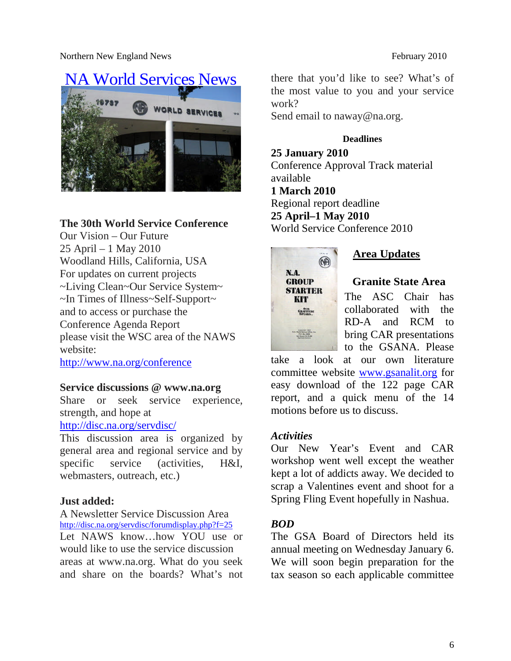Northern New England News February 2010



#### **The 30th World Service Conference**

Our Vision – Our Future 25 April – 1 May 2010 Woodland Hills, California, USA For updates on current projects ~Living Clean~Our Service System~ ~In Times of Illness~Self-Support~ and to access or purchase the Conference Agenda Report please visit the WSC area of the NAWS website:

http://www.na.org/conference

#### **Service discussions @ www.na.org**

Share or seek service experience, strength, and hope at

http://disc.na.org/servdisc/

This discussion area is organized by general area and regional service and by specific service (activities, H&I, webmasters, outreach, etc.)

#### **Just added:**

A Newsletter Service Discussion Area http://disc.na.org/servdisc/forumdisplay.php?f=25

Let NAWS know…how YOU use or would like to use the service discussion areas at www.na.org. What do you seek and share on the boards? What's not

there that you'd like to see? What's of the most value to you and your service work?

Send email to naway@na.org.

#### **Deadlines**

**25 January 2010** Conference Approval Track material available **1 March 2010** Regional report deadline **25 April–1 May 2010** World Service Conference 2010



**Area Updates**

**Granite State Area**

The ASC Chair has collaborated with the RD-A and RCM to bring CAR presentations to the GSANA. Please

take a look at our own literature committee website www.gsanalit.org for easy download of the 122 page CAR report, and a quick menu of the 14 motions before us to discuss.

#### *Activities*

Our New Year's Event and CAR workshop went well except the weather kept a lot of addicts away. We decided to scrap a Valentines event and shoot for a Spring Fling Event hopefully in Nashua.

#### *BOD*

The GSA Board of Directors held its annual meeting on Wednesday January 6. We will soon begin preparation for the tax season so each applicable committee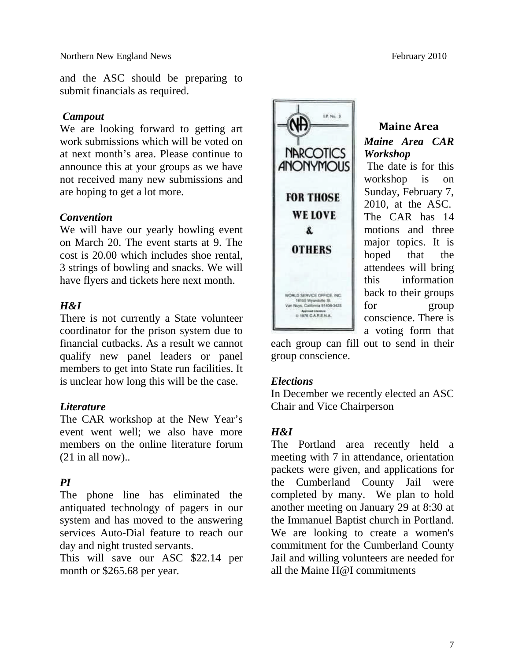and the ASC should be preparing to submit financials as required.

#### *Campout*

We are looking forward to getting art work submissions which will be voted on at next month's area. Please continue to announce this at your groups as we have not received many new submissions and are hoping to get a lot more.

#### *Convention*

We will have our yearly bowling event on March 20. The event starts at 9. The cost is 20.00 which includes shoe rental, 3 strings of bowling and snacks. We will have flyers and tickets here next month.

#### *H&I*

There is not currently a State volunteer coordinator for the prison system due to financial cutbacks. As a result we cannot qualify new panel leaders or panel members to get into State run facilities. It is unclear how long this will be the case.

#### *Literature*

The CAR workshop at the New Year's event went well; we also have more members on the online literature forum  $(21$  in all now)..

#### *PI*

The phone line has eliminated the antiquated technology of pagers in our system and has moved to the answering services Auto-Dial feature to reach our day and night trusted servants.

This will save our ASC \$22.14 per month or \$265.68 per year.



**Maine Area** *Maine Area CAR Workshop* The date is for this workshop is on Sunday, February 7, 2010, at the ASC. The CAR has 14 motions and three major topics. It is hoped that the attendees will bring this information back to their groups for group conscience. There is a voting form that

each group can fill out to send in their group conscience.

#### *Elections*

In December we recently elected an ASC Chair and Vice Chairperson

#### *H&I*

The Portland area recently held a meeting with 7 in attendance, orientation packets were given, and applications for the Cumberland County Jail were completed by many. We plan to hold another meeting on January 29 at 8:30 at the Immanuel Baptist church in Portland. We are looking to create a women's commitment for the Cumberland County Jail and willing volunteers are needed for all the Maine H@I commitments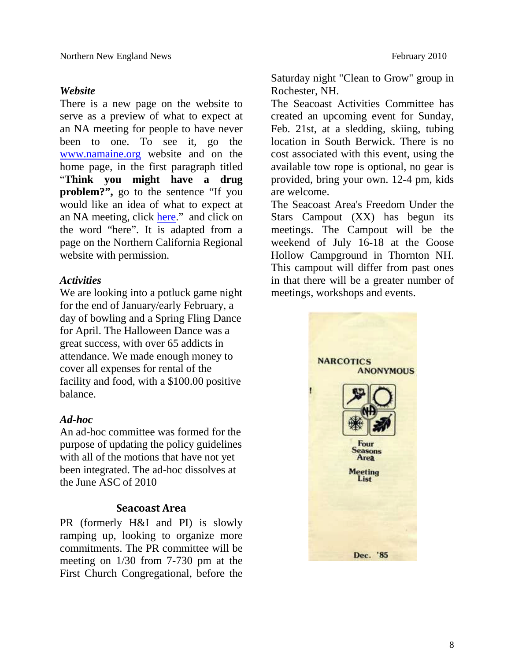#### *Website*

There is a new page on the website to serve as a preview of what to expect at an NA meeting for people to have never been to one. To see it, go the www.namaine.org website and on the home page, in the first paragraph titled "**Think you might have a drug problem?",** go to the sentence "If you would like an idea of what to expect at an NA meeting, click here." and click on the word "here". It is adapted from a page on the Northern California Regional website with permission.

#### *Activities*

We are looking into a potluck game night for the end of January/early February, a day of bowling and a Spring Fling Dance for April. The Halloween Dance was a great success, with over 65 addicts in attendance. We made enough money to cover all expenses for rental of the facility and food, with a \$100.00 positive balance.

#### *Ad-hoc*

An ad-hoc committee was formed for the purpose of updating the policy guidelines with all of the motions that have not yet been integrated. The ad-hoc dissolves at the June ASC of 2010

#### **Seacoast Area**

PR (formerly H&I and PI) is slowly ramping up, looking to organize more commitments. The PR committee will be meeting on 1/30 from 7-730 pm at the First Church Congregational, before the Saturday night "Clean to Grow" group in Rochester, NH.

The Seacoast Activities Committee has created an upcoming event for Sunday, Feb. 21st, at a sledding, skiing, tubing location in South Berwick. There is no cost associated with this event, using the available tow rope is optional, no gear is provided, bring your own. 12-4 pm, kids are welcome.

The Seacoast Area's Freedom Under the Stars Campout (XX) has begun its meetings. The Campout will be the weekend of July 16-18 at the Goose Hollow Campground in Thornton NH. This campout will differ from past ones in that there will be a greater number of meetings, workshops and events.

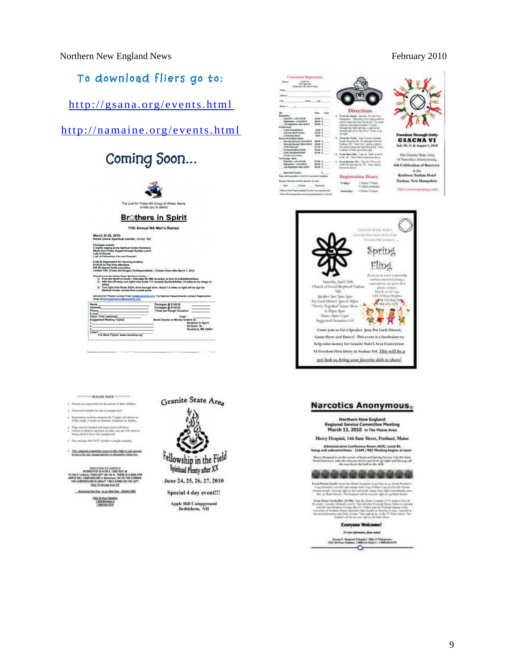Northern New England News February 2010

#### **To download fliers go to:**

http://gsana.org/events.html

#### http://namaine.org/events.html

## **Coming Soon…**



" PLEASE SOTE ""

- this has the actions of their of ad a tallahis for sels at paragproved
- traine stachatta compress the 7 styles and don<br>Linghs, 9 month on furbanker, brankfurt on the
- te, 9 meets on furbootes, brenkfust on Hundre<br>The bootled and negrovined as all times<br>stand to and pixis op after your pat will square a<br>d to boon the compyrimal
- 
- .<br>2004 Mahmut Maham Pilipina ang kabang pe

\* The Lampush committee assurers the right to ack answer

**INTERNATION TO CANDICT IN A SERVICE AND INTERNATION OF STATE CONTROL**<br>AND CAMPLECONS TO THE THEFT OF A SERVICE CANDICAL CAMPLECON<br>L CAMPLECONS IN BASER WAS ON THE LORDER OF THE THE CONSULT<br>APPROVED IN ASSAULT VALUE OF THE

**COLOR AND BUILDING ASSAULT** GIA 24 November





<sup>8</sup>pinitual Plenty after XX

June 24, 25, 26, 27, 2010

Special 4 day event!!! Apple Hill Campground<br>Bethlehem, NH

| <b>ENRICHA</b><br><b>Britt Aut Mat</b><br>Flusivesc. Ink distributes<br>Trades<br>سفشنا<br>1844<br>Peace 1                                                                                                                                                                                                                                                                                                                                                                                                                                                                                                                 |                                                                                                                                                                                                                          |                                                                          |                                                                                                                                                                                                                                                                                                                                                                                                                                                                                                                                                                                                                                                        |                                                                                                                                                                      |
|----------------------------------------------------------------------------------------------------------------------------------------------------------------------------------------------------------------------------------------------------------------------------------------------------------------------------------------------------------------------------------------------------------------------------------------------------------------------------------------------------------------------------------------------------------------------------------------------------------------------------|--------------------------------------------------------------------------------------------------------------------------------------------------------------------------------------------------------------------------|--------------------------------------------------------------------------|--------------------------------------------------------------------------------------------------------------------------------------------------------------------------------------------------------------------------------------------------------------------------------------------------------------------------------------------------------------------------------------------------------------------------------------------------------------------------------------------------------------------------------------------------------------------------------------------------------------------------------------------------------|----------------------------------------------------------------------------------------------------------------------------------------------------------------------|
| fogal-dam<br><b>York-Sid Look to think</b><br>Replacement spins \$7910.<br>Life Registation after \$7879<br><b>Extention dealer</b><br>Frein, Karana Russa<br><b><i><u><u>Research Add Esterior</u></u></i></b><br>to Balcades Series<br><b>Newport &amp; Southed Bullett</b><br><b>Robertowy Musike call Librarie International</b><br><b>Extracted Research Miles 199914</b><br><b>Child a Rangual?</b><br><b>Runday Roadfool Bullet</b><br>Chief is knownight that art<br><b>Scientist Editor</b><br><b>Sale Participa: Adults</b><br>Kedy Blvd., sold controls.<br>Reported as a significant<br>Las beautes also don't | <b>Bala</b><br>01048 E<br>\$50.00 \$<br><b>SPLEY 6</b><br><b>Bitt L</b><br><b>MAI 6</b><br><b>MAI 4</b><br>\$31.95 \$<br>\$8.95 S.<br>MAIN S<br><b>BRACK</b><br>99.97.0<br><b>STER E</b><br><b>MAY</b> 1<br><b>BER 1</b> | an isala.<br>in phone 1. 9 saids ag on the right<br><b>Emilian state</b> | <b>Directions</b><br>Freeze Ma South: Toke Ns. 195 and New<br>Herewickers: "Have kike that I med up both at<br>mid-et-weige was four-finish. Kd., This sealer<br>listings and approximately the netc-<br>through your harit with take a make at the<br>severed ingles can an Varia Wind Trivani as use<br><b>Journal Avel: Jackwayneple</b><br>Totalk (Reserves B). The detailed turn, year.<br>Nadag, MI Take Dot I'mal protekt at<br>the staf of same onto Neil Draud, R.A. Hokes<br>Free May Play Late to 200 in 44th<br>in \$1.150. They follow detectoral above.<br>Frent Rooms, MA: Vida Bir 970 as Br.<br>USEWER and sales for TV. Then Artists | <b>Freedom Through Unity</b><br><b>GSACNA VI</b><br>July 30, 31 & August 1, 2010<br>The Granite State Area<br>of Narooties Anonymousa<br>6th Celebration of Recovery |
| <b>Reserves Trendries</b><br>Naly clocks plastic or UAAAA Livewage Complete<br>Busque Newton nethels assembly at using<br>d Soldana<br>· Flores contact Progresswing Euro last are served with<br>1 Earth Meteoraphorakes coust in association file 10:00:00                                                                                                                                                                                                                                                                                                                                                               | <b>Louisville</b>                                                                                                                                                                                                        | Findest<br><b>Named diami</b>                                            | Registration Hours<br>2.00pm <sup>4</sup> -00pm<br>9 Stern esdead<br>COlum 5 Miles                                                                                                                                                                                                                                                                                                                                                                                                                                                                                                                                                                     | at the<br>Radisson Nashua Hotel<br>Nashua, New Hampshire<br>This is a non-smoking creat                                                                              |

 $\vee$ Granite strate Aren's within had straining **SERVICE** Spring Fling h of Good Shephred Na plane contact:<br>Deb B or LiP Lin  $301$ sker Jan Jun-ipe **Bit Luck Di** 6:30pm Apro Danie Sjen-Tijes sted Doussins \$10 e join us for a Speaker-Jam, Pot Luck Dim Show and Dance! This event is a fundraiser to help raise money for Granite State's Area Com-VI Freedom Thru Unity in Nashus NH. This will be a pot buck so, bring your favorite dish to share!

#### **Narcotics Anonymous**

Northern New England al Service Committee Meeting March 13, 2010 In The Maine Area

Mercy Hospital, 144 State Street, Portland, Maine Administrative Conference Room (ACR), Level 81.<br>and subcommittees - 11API / RSC Meeting begins at noon

 $\begin{small} \textbf{H} & \textbf{u}_{\text{P}} & \textbf{u}_{\text{P}} & \textbf{u}_{\text{P}} & \textbf{u}_{\text{P}} & \textbf{u}_{\text{P}} & \textbf{u}_{\text{P}} & \textbf{u}_{\text{P}} & \textbf{u}_{\text{P}} & \textbf{u}_{\text{P}} & \textbf{u}_{\text{P}} & \textbf{u}_{\text{P}} & \textbf{u}_{\text{P}} & \textbf{u}_{\text{P}} & \textbf{u}_{\text{P}} & \textbf{u}_{\text{P}} & \textbf{u}_{\text{P}} & \textbf{u}_{\text{P}} & \textbf{$ 



an Midayin Sanadir, Israel (bu Midayi Turuyaka (bay) Tata as <sub>tha</sub> Turuyil Pri<br>ing Thomasily, ann dhil said margar sich is sign, Political Principal<br>mara marjib, markan right at the underly the television that with the sam

 $\begin{minipage}[t]{0.9\textwidth} \begin{minipage}[t]{0.9\textwidth} \begin{itemize} {\bf 2.0\textwidth} \begin{itemize} {\bf 2.0\textwidth} \begin{itemize} {\bf 2.0\textwidth} \begin{itemize} {\bf 2.0\textwidth} \begin{itemize} {\bf 2.0\textwidth} \begin{itemize} {\bf 2.0\textwidth} \begin{itemize} {\bf 2.0\textwidth} \begin{itemize} {\bf 2.0\textwidth} \begin{itemize} {\bf 2.0\textwidth} \begin{itemize} {\bf 2.0\textwidth} \begin{itemize} {\bf 2.0\textwidth} \begin{itemize} {\bf 2.0$ 

**Everyone Welcome!** 

For every information, where contact Journal F. (Regional Delegate) Mike F. Chairpeane<br>(28.4.10 Floor Siebhas) 1499-244 (Sep 1) / 1499-254 o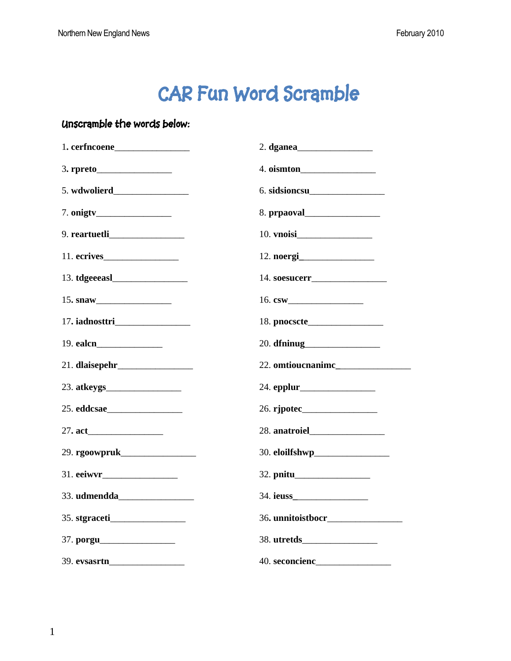# **CAR Fun Word Scramble**

#### **Unscramble the words below:**

| 15. snaw    |                   |
|-------------|-------------------|
|             |                   |
|             |                   |
|             | 22. omtioucnanime |
|             |                   |
| 25. eddcsae |                   |
|             |                   |
|             |                   |
|             |                   |
|             |                   |
|             |                   |
|             |                   |
|             |                   |